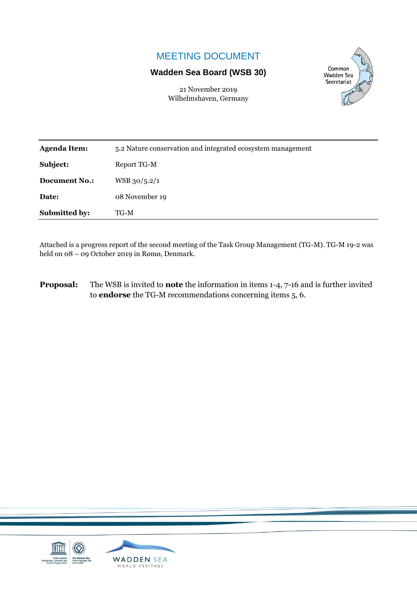# MEETING DOCUMENT

# **Wadden Sea Board (WSB 30)**

Common **Wadden Sea** Secretariat

21 November 2019 Wilhelmshaven, Germany

| <b>Agenda Item:</b>  | 5.2 Nature conservation and integrated ecosystem management |  |  |
|----------------------|-------------------------------------------------------------|--|--|
| Subject:             | Report TG-M                                                 |  |  |
| <b>Document No.:</b> | $WSB$ 30/5.2/1                                              |  |  |
| Date:                | 08 November 19                                              |  |  |
| <b>Submitted by:</b> | TG-M                                                        |  |  |
|                      |                                                             |  |  |

Attached is a progress report of the second meeting of the Task Group Management (TG-M). TG-M 19-2 was held on 08 – 09 October 2019 in Rømø, Denmark.

**Proposal:** The WSB is invited to **note** the information in items 1-4, 7-16 and is further invited to **endorse** the TG-M recommendations concerning items 5, 6.

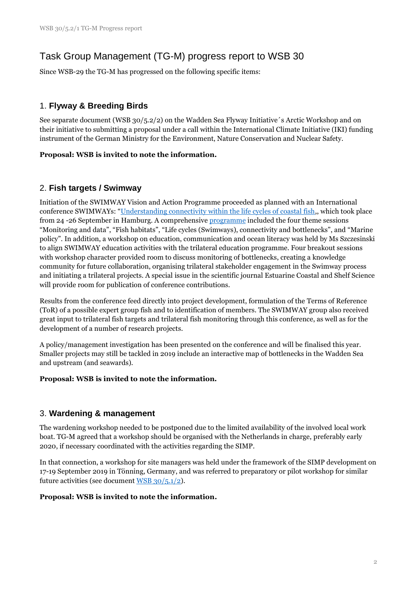# Task Group Management (TG-M) progress report to WSB 30

Since WSB-29 the TG-M has progressed on the following specific items:

# 1. **Flyway & Breeding Birds**

See separate document (WSB 30/5.2/2) on the Wadden Sea Flyway Initiative´s Arctic Workshop and on their initiative to submitting a proposal under a call within the International Climate Initiative (IKI) funding instrument of the German Ministry for the Environment, Nature Conservation and Nuclear Safety.

### **Proposal: WSB is invited to note the information.**

# 2. **Fish targets / Swimway**

Initiation of the SWIMWAY Vision and Action Programme proceeded as planned with an International conference SWIMWAYs: "[Understanding connectivity within the life cycles of coastal fish,](https://www.waddensea-worldheritage.org/events/swimways-understanding-connectivity-within-life-cycles-coastal-fish), which took place from 24 -26 September in Hamburg. A comprehensive [programme](https://www.waddensea-worldheritage.org/sites/default/files/SWIMWAY_Conference_booklet_FINAL.pdf) included the four theme sessions "Monitoring and data", "Fish habitats", "Life cycles (Swimways), connectivity and bottlenecks", and "Marine policy". In addition, a workshop on education, communication and ocean literacy was held by Ms Szczesinski to align SWIMWAY education activities with the trilateral education programme. Four breakout sessions with workshop character provided room to discuss monitoring of bottlenecks, creating a knowledge community for future collaboration, organising trilateral stakeholder engagement in the Swimway process and initiating a trilateral projects. A special issue in the scientific journal Estuarine Coastal and Shelf Science will provide room for publication of conference contributions.

Results from the conference feed directly into project development, formulation of the Terms of Reference (ToR) of a possible expert group fish and to identification of members. The SWIMWAY group also received great input to trilateral fish targets and trilateral fish monitoring through this conference, as well as for the development of a number of research projects.

A policy/management investigation has been presented on the conference and will be finalised this year. Smaller projects may still be tackled in 2019 include an interactive map of bottlenecks in the Wadden Sea and upstream (and seawards).

### **Proposal: WSB is invited to note the information.**

### 3. **Wardening & management**

The wardening workshop needed to be postponed due to the limited availability of the involved local work boat. TG-M agreed that a workshop should be organised with the Netherlands in charge, preferably early 2020, if necessary coordinated with the activities regarding the SIMP.

In that connection, a workshop for site managers was held under the framework of the SIMP development on 17-19 September 2019 in Tönning, Germany, and was referred to preparatory or pilot workshop for similar future activities (see document [WSB 30/5.1/2\)](https://www.waddensea-worldheritage.org/sites/default/files/WSB30%205.1-2%20simp%20status%20report.pdf).

### **Proposal: WSB is invited to note the information.**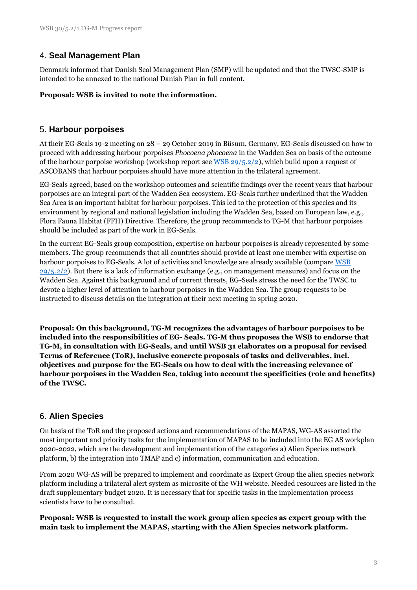# 4. **Seal Management Plan**

Denmark informed that Danish Seal Management Plan (SMP) will be updated and that the TWSC-SMP is intended to be annexed to the national Danish Plan in full content.

### **Proposal: WSB is invited to note the information.**

### 5. **Harbour porpoises**

At their EG-Seals 19-2 meeting on 28 – 29 October 2019 in Büsum, Germany, EG-Seals discussed on how to proceed with addressing harbour porpoises *Phocoena phocoena* in the Wadden Sea on basis of the outcome of the harbour porpoise workshop (workshop report see  $WSB$  29/5.2/2), which build upon a request of ASCOBANS that harbour porpoises should have more attention in the trilateral agreement.

EG-Seals agreed, based on the workshop outcomes and scientific findings over the recent years that harbour porpoises are an integral part of the Wadden Sea ecosystem. EG-Seals further underlined that the Wadden Sea Area is an important habitat for harbour porpoises. This led to the protection of this species and its environment by regional and national legislation including the Wadden Sea, based on European law, e.g., Flora Fauna Habitat (FFH) Directive. Therefore, the group recommends to TG-M that harbour porpoises should be included as part of the work in EG-Seals.

In the current EG-Seals group composition, expertise on harbour porpoises is already represented by some members. The group recommends that all countries should provide at least one member with expertise on harbour porpoises to EG-Seals. A lot of activities and knowledge are already available (compare WSB  $29/5.2/2$ ). But there is a lack of information exchange (e.g., on management measures) and focus on the Wadden Sea. Against this background and of current threats, EG-Seals stress the need for the TWSC to devote a higher level of attention to harbour porpoises in the Wadden Sea. The group requests to be instructed to discuss details on the integration at their next meeting in spring 2020.

**Proposal: On this background, TG-M recognizes the advantages of harbour porpoises to be included into the responsibilities of EG- Seals. TG-M thus proposes the WSB to endorse that TG-M, in consultation with EG-Seals, and until WSB 31 elaborates on a proposal for revised Terms of Reference (ToR), inclusive concrete proposals of tasks and deliverables, incl. objectives and purpose for the EG-Seals on how to deal with the increasing relevance of harbour porpoises in the Wadden Sea, taking into account the specificities (role and benefits) of the TWSC.**

# 6. **Alien Species**

On basis of the ToR and the proposed actions and recommendations of the MAPAS, WG-AS assorted the most important and priority tasks for the implementation of MAPAS to be included into the EG AS workplan 2020-2022, which are the development and implementation of the categories a) Alien Species network platform, b) the integration into TMAP and c) information, communication and education.

From 2020 WG-AS will be prepared to implement and coordinate as Expert Group the alien species network platform including a trilateral alert system as microsite of the WH website. Needed resources are listed in the draft supplementary budget 2020. It is necessary that for specific tasks in the implementation process scientists have to be consulted.

### **Proposal: WSB is requested to install the work group alien species as expert group with the main task to implement the MAPAS, starting with the Alien Species network platform.**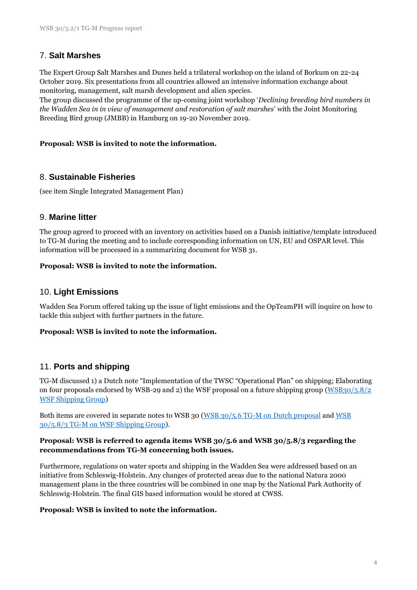# 7. **Salt Marshes**

The Expert Group Salt Marshes and Dunes held a trilateral workshop on the island of Borkum on 22-24 October 2019. Six presentations from all countries allowed an intensive information exchange about monitoring, management, salt marsh development and alien species.

The group discussed the programme of the up-coming joint workshop '*Declining breeding bird numbers in the Wadden Sea in in view of management and restoration of salt marshes*' with the Joint Monitoring Breeding Bird group (JMBB) in Hamburg on 19-20 November 2019.

### **Proposal: WSB is invited to note the information.**

### 8. **Sustainable Fisheries**

(see item Single Integrated Management Plan)

### 9. **Marine litter**

The group agreed to proceed with an inventory on activities based on a Danish initiative/template introduced to TG-M during the meeting and to include corresponding information on UN, EU and OSPAR level. This information will be processed in a summarizing document for WSB 31.

### **Proposal: WSB is invited to note the information.**

### 10. **Light Emissions**

Wadden Sea Forum offered taking up the issue of light emissions and the OpTeamPH will inquire on how to tackle this subject with further partners in the future.

### **Proposal: WSB is invited to note the information.**

### 11. **Ports and shipping**

TG-M discussed 1) a Dutch note "Implementation of the TWSC "Operational Plan" on shipping; Elaborating on four proposals endorsed by WSB-29 and 2) the WSF proposal on a future shipping group [\(WSB30/5.8/2](https://www.waddensea-worldheritage.org/sites/default/files/WSB30%205.8-2%20ws%20shipping%20group.pdf)  [WSF Shipping Group\)](https://www.waddensea-worldheritage.org/sites/default/files/WSB30%205.8-2%20ws%20shipping%20group.pdf)

Both items are covered in separate notes to WSB 30 [\(WSB 30/5.6 TG-M on](https://www.waddensea-worldheritage.org/sites/default/files/WSB30%205.5_tg-m_on_dutch_proposal.pdf) Dutch proposal and [WSB](https://www.waddensea-worldheritage.org/sites/default/files/WSB30%205.5_tg-m_on_dutch_proposal.pdf)  30/5.8/3 TG-M on [WSF Shipping Group\)](https://www.waddensea-worldheritage.org/sites/default/files/WSB30%205.5_tg-m_on_dutch_proposal.pdf).

#### **Proposal: WSB is referred to agenda items WSB 30/5.6 and WSB 30/5.8/3 regarding the recommendations from TG-M concerning both issues.**

Furthermore, regulations on water sports and shipping in the Wadden Sea were addressed based on an initiative from Schleswig-Holstein. Any changes of protected areas due to the national Natura 2000 management plans in the three countries will be combined in one map by the National Park Authority of Schleswig-Holstein. The final GIS based information would be stored at CWSS.

### **Proposal: WSB is invited to note the information.**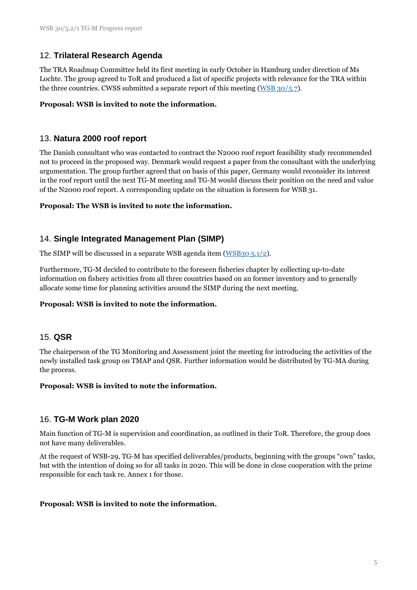# 12. **Trilateral Research Agenda**

The TRA Roadmap Committee held its first meeting in early October in Hamburg under direction of Ms Lochte. The group agreed to ToR and produced a list of specific projects with relevance for the TRA within the three countries. CWSS submitted a separate report of this meeting [\(WSB 30/5.7\)](https://www.waddensea-worldheritage.org/sites/default/files/WSB30%205.7%20Science%20Cooperation%20TRA-RMC.pdf).

### **Proposal: WSB is invited to note the information.**

### 13. **Natura 2000 roof report**

The Danish consultant who was contacted to contract the N2000 roof report feasibility study recommended not to proceed in the proposed way. Denmark would request a paper from the consultant with the underlying argumentation. The group further agreed that on basis of this paper, Germany would reconsider its interest in the roof report until the next TG-M meeting and TG-M would discuss their position on the need and value of the N2000 roof report. A corresponding update on the situation is foreseen for WSB 31.

### **Proposal: The WSB is invited to note the information.**

# 14. **Single Integrated Management Plan (SIMP)**

The SIMP will be discussed in a separate WSB agenda item [\(WSB30 5.1/2\)](https://www.waddensea-worldheritage.org/sites/default/files/WSB30%205.1-2%20simp%20status%20report.pdf).

Furthermore, TG-M decided to contribute to the foreseen fisheries chapter by collecting up-to-date information on fishery activities from all three countries based on an former inventory and to generally allocate some time for planning activities around the SIMP during the next meeting.

### **Proposal: WSB is invited to note the information.**

# 15. **QSR**

The chairperson of the TG Monitoring and Assessment joint the meeting for introducing the activities of the newly installed task group on TMAP and QSR. Further information would be distributed by TG-MA during the process.

### **Proposal: WSB is invited to note the information.**

### 16. **TG-M Work plan 2020**

Main function of TG-M is supervision and coordination, as outlined in their ToR. Therefore, the group does not have many deliverables.

At the request of WSB-29, TG-M has specified deliverables/products, beginning with the groups "own" tasks, but with the intention of doing so for all tasks in 2020. This will be done in close cooperation with the prime responsible for each task re. Annex 1 for those.

### **Proposal: WSB is invited to note the information.**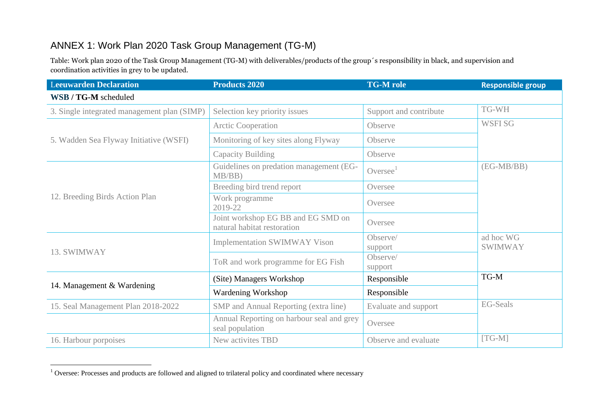# ANNEX 1: Work Plan 2020 Task Group Management (TG-M)

Table: Work plan 2020 of the Task Group Management (TG-M) with deliverables/products of the group´s responsibility in black, and supervision and coordination activities in grey to be updated.

| <b>Leeuwarden Declaration</b>               | <b>Products 2020</b>                                              | <b>TG-M</b> role       | <b>Responsible group</b>    |
|---------------------------------------------|-------------------------------------------------------------------|------------------------|-----------------------------|
| WSB / TG-M scheduled                        |                                                                   |                        |                             |
| 3. Single integrated management plan (SIMP) | Selection key priority issues                                     | Support and contribute | TG-WH                       |
|                                             | <b>Arctic Cooperation</b>                                         | Observe                | <b>WSFISG</b>               |
| 5. Wadden Sea Flyway Initiative (WSFI)      | Monitoring of key sites along Flyway                              | Observe                |                             |
|                                             | Capacity Building                                                 | Observe                |                             |
|                                             | Guidelines on predation management (EG-<br>MB/BB                  | Oversee                | $(EG-MB/BB)$                |
|                                             | Breeding bird trend report                                        | Oversee                |                             |
| 12. Breeding Birds Action Plan              | Work programme<br>2019-22                                         | Oversee                |                             |
|                                             | Joint workshop EG BB and EG SMD on<br>natural habitat restoration | Oversee                |                             |
|                                             | <b>Implementation SWIMWAY Vison</b>                               | Observe/<br>support    | ad hoc WG<br><b>SWIMWAY</b> |
| 13. SWIMWAY                                 | ToR and work programme for EG Fish                                | Observe/<br>support    |                             |
| 14. Management & Wardening                  | (Site) Managers Workshop                                          | Responsible            | $TG-M$                      |
|                                             | Wardening Workshop                                                | Responsible            |                             |
| 15. Seal Management Plan 2018-2022          | SMP and Annual Reporting (extra line)                             | Evaluate and support   | <b>EG-Seals</b>             |
|                                             | Annual Reporting on harbour seal and grey<br>seal population      | Oversee                |                             |
| 16. Harbour porpoises                       | New activites TBD                                                 | Observe and evaluate   | $[TG-M]$                    |

1

<sup>&</sup>lt;sup>1</sup> Oversee: Processes and products are followed and aligned to trilateral policy and coordinated where necessary